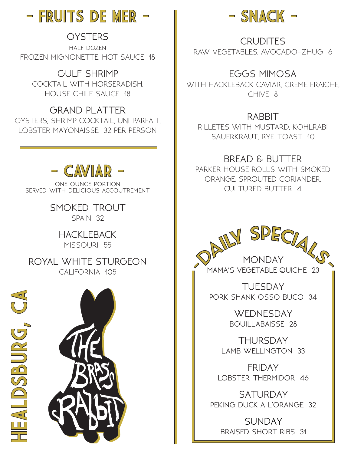

# **OYSTERS**

half dozen FROZEN MIGNONETTE, HOT SAUCE 18

**GULF SHRIMP** COCKTAIL WITH HORSERADISH, HOUSE CHILE SAUCE 18

**GRAND PLATTER** OYSTERS, SHRIMP COCKTAIL, UNI PARFAIT, LOBSTER MAYONAISSE 32 PER PERSON



one ounce portion served with delicious accoutrement

> **SMOKED TROUT** SPAIN 32

#### **HACKLEBACK** MISSOURI 55

**ROYAL WHITE STURGEON** CALIFORNIA 105







**CRUDITES** RAW VEGETABLES, AVOCADO-ZHUG 6

#### **EGGS MIMOSA**

WITH HACKLEBACK CAVIAR, CREME FRAICHE, CHIVE 8

# **RABBIT**

RILLETES WITH MUSTARD, KOHLRABI SAUERKRAUT, RYE TOAST 10

# **BREAD & BUTTER**

PARKER HOUSE ROLLS WITH SMOKED ORANGE, SPROUTED CORIANDER, CULTURED BUTTER 4



0





**MAMA'S VEGETABLE QUICHE 23**

**TUESDAY PORK SHANK OSSO BUCO 34**

> **WEDNESDAY BOUILLABAISSE 28**

**THURSDAY LAMB WELLINGTON 33**

**FRIDAY LOBSTER THERMIDOR 46**

**SATURDAY PEKING DUCK A L'ORANGE 32**

**SUNDAY BRAISED SHORT RIBS 31**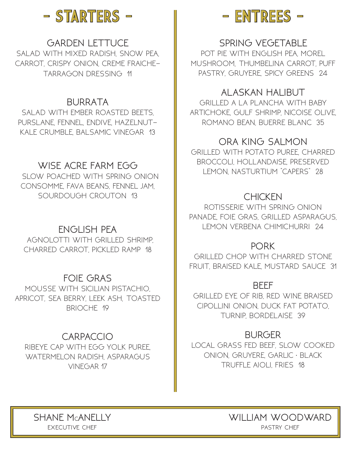

# **GARDEN LETTUCE**

SALAD WITH MIXED RADISH, SNOW PEA, CARROT, CRISPY ONION, CREME FRAICHE-TARRAGON DRESSING 11

### **BURRATA**

SALAD WITH EMBER ROASTED BEETS, PURSLANE, FENNEL, ENDIVE, HAZELNUT-KALE CRUMBLE, BALSAMIC VINEGAR 13

# **WISE ACRE FARM EGG**

 SLOW POACHED WITH SPRING ONION CONSOMME, FAVA BEANS, FENNEL JAM, SOURDOUGH CROUTON 13

# **ENGLISH PEA**

 AGNOLOTTI WITH GRILLED SHRIMP, CHARRED CARROT, PICKLED RAMP 18

#### **FOIE GRAS**

MOUSSE WITH SICILIAN PISTACHIO, APRICOT, SEA BERRY, LEEK ASH, TOASTED BRIOCHE 19

#### **CARPACCIO**

RIBEYE CAP WITH EGG YOLK PUREE, WATERMELON RADISH, ASPARAGUS VINEGAR 17



### **SPRING VEGETABLE**

POT PIE WITH ENGLISH PEA, MOREL MUSHROOM, THUMBELINA CARROT, PUFF PASTRY, GRUYERE, SPICY GREENS 24

#### **ALASKAN HALIBUT**

GRILLED A LA PLANCHA WITH BABY ARTICHOKE, GULF SHRIMP, NICOISE OLIVE, ROMANO BEAN, BUERRE BLANC 35

#### **ORA KING SALMON**

GRILLED WITH POTATO PUREE, CHARRED BROCCOLI, HOLLANDAISE, PRESERVED LEMON, NASTURTIUM "CAPERS" 28

#### **CHICKEN**

ROTISSERIE WITH SPRING ONION PANADE, FOIE GRAS, GRILLED ASPARAGUS, LEMON VERBENA CHIMICHURRI 24

#### **PORK**

GRILLED CHOP WITH CHARRED STONE FRUIT, BRAISED KALE, MUSTARD SAUCE 31

#### **BEEF**

GRILLED EYE OF RIB, RED WINE BRAISED CIPOLLINI ONION, DUCK FAT POTATO, TURNIP, BORDELAISE 39

#### **BURGER**

LOCAL GRASS FED BEEF, SLOW COOKED ONION, GRUYERE, GARLIC • BLACK TRUFFLE AIOLI, FRIES 18

**SHANE MCANELLY EXECUTIVE CHEF** 

**WILLIAM WOODWARD** pastry chef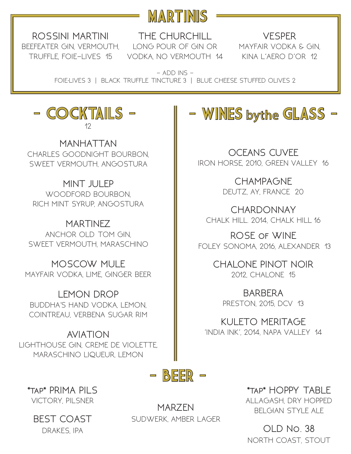

**ROSSINI MARTINI** BEEFEATER GIN, VERMOUTH, LONG POUR OF GIN OR MAYFAIR VODKA & GIN, TRUFFLE, FOIE-LIVES 15

**THE CHURCHILL** VODKA, NO VERMOUTH 14 KINA L'AERO D'OR 12

**VESPER**

 $-$  ADD INS  $-$ FOIE·LIVES 3 | BLACK TRUFFLE TINCTURE 3 | BLUE CHEESE STUFFED OLIVES 2

# - COCKTAILS - – 12

**MANHATTAN** CHARLES GOODNIGHT BOURBON, SWEET VERMOUTH, ANGOSTURA

**MINT JULEP** WOODFORD BOURBON, RICH MINT SYRUP, ANGOSTURA

**MARTINEZ** ANCHOR OLD TOM GIN, SWEET VERMOUTH, MARASCHINO

**MOSCOW MULE** MAYFAIR VODKA, LIME, GINGER BEER

**LEMON DROP** BUDDHA'S HAND VODKA, LEMON, COINTREAU, VERBENA SUGAR RIM

**AVIATION** LIGHTHOUSE GIN, CREME DE VIOLETTE, MARASCHINO LIQUEUR, LEMON

# - WINES bythe GLASS -

**OCEANS CUVEE** IRON HORSE, 2010, GREEN VALLEY 16

> **CHAMPAGNE** DEUTZ, AY, FRANCE 20

**CHARDONNAY** CHALK HILL. 2014, CHALK HILL 16

**ROSE of WINE** FOLEY SONOMA, 2016, ALEXANDER 13

> **CHALONE PINOT NOIR** 2012, CHALONE 15

**BARBERA** PRESTON, 2015, DCV 13

**KULETO MERITAGE** 'INDIA INK', 2014, NAPA VALLEY 14



**\*tap\* PRIMA PILS** VICTORY, PILSNER

**BEST COAST** DRAKES, IPA

**MARZEN** SUDWERK, AMBER LAGER

**\*tap\* HOPPY TABLE** ALLAGASH, DRY HOPPED BELGIAN STYLE ALE

**OLD No. 38** NORTH COAST, STOUT